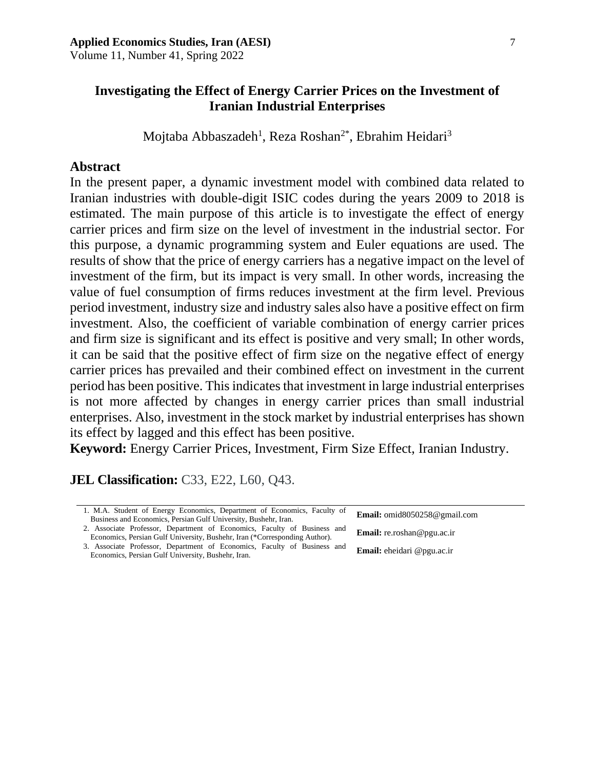# **Investigating the Effect of Energy Carrier Prices on the Investment of Iranian Industrial Enterprises**

Mojtaba Abbaszadeh<sup>1</sup>, Reza Roshan<sup>2\*</sup>, Ebrahim Heidari<sup>3</sup>

# **Abstract**

In the present paper, a dynamic investment model with combined data related to Iranian industries with double-digit ISIC codes during the years 2009 to 2018 is estimated. The main purpose of this article is to investigate the effect of energy carrier prices and firm size on the level of investment in the industrial sector. For this purpose, a dynamic programming system and Euler equations are used. The results of show that the price of energy carriers has a negative impact on the level of investment of the firm, but its impact is very small. In other words, increasing the value of fuel consumption of firms reduces investment at the firm level. Previous period investment, industry size and industry sales also have a positive effect on firm investment. Also, the coefficient of variable combination of energy carrier prices and firm size is significant and its effect is positive and very small; In other words, it can be said that the positive effect of firm size on the negative effect of energy carrier prices has prevailed and their combined effect on investment in the current period has been positive. This indicates that investment in large industrial enterprises is not more affected by changes in energy carrier prices than small industrial enterprises. Also, investment in the stock market by industrial enterprises has shown its effect by lagged and this effect has been positive.

**Keyword:** Energy Carrier Prices, Investment, Firm Size Effect, Iranian Industry.

**JEL Classification: C33, E22, L60, Q43.** 

| 1. M.A. Student of Energy Economics, Department of Economics, Faculty of<br>Business and Economics, Persian Gulf University, Bushehr, Iran.            | Email: omid8050258@gmail.com      |
|--------------------------------------------------------------------------------------------------------------------------------------------------------|-----------------------------------|
| 2. Associate Professor, Department of Economics, Faculty of Business and<br>Economics, Persian Gulf University, Bushehr, Iran (*Corresponding Author). | <b>Email:</b> re.roshan@pgu.ac.ir |
| 3. Associate Professor, Department of Economics, Faculty of Business and<br>Economics, Persian Gulf University, Bushehr, Iran.                         | <b>Email:</b> eheidari @pgu.ac.ir |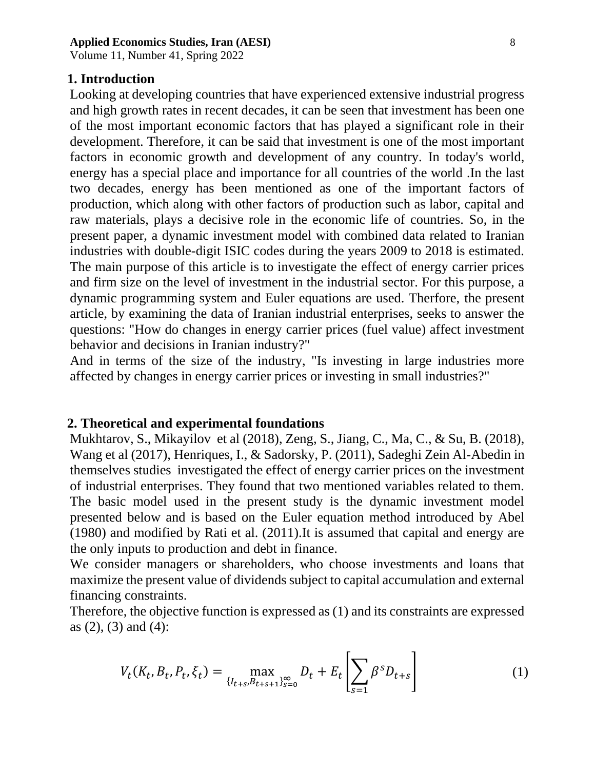Volume 11, Number 41, Spring 2022

# **1. Introduction**

Looking at developing countries that have experienced extensive industrial progress and high growth rates in recent decades, it can be seen that investment has been one of the most important economic factors that has played a significant role in their development. Therefore, it can be said that investment is one of the most important factors in economic growth and development of any country. In today's world, energy has a special place and importance for all countries of the world .In the last two decades, energy has been mentioned as one of the important factors of production, which along with other factors of production such as labor, capital and raw materials, plays a decisive role in the economic life of countries. So, in the present paper, a dynamic investment model with combined data related to Iranian industries with double-digit ISIC codes during the years 2009 to 2018 is estimated. The main purpose of this article is to investigate the effect of energy carrier prices and firm size on the level of investment in the industrial sector. For this purpose, a dynamic programming system and Euler equations are used. Therfore, the present article, by examining the data of Iranian industrial enterprises, seeks to answer the questions: "How do changes in energy carrier prices (fuel value) affect investment behavior and decisions in Iranian industry?"

And in terms of the size of the industry, "Is investing in large industries more affected by changes in energy carrier prices or investing in small industries?"

# **2. Theoretical and experimental foundations**

Mukhtarov, S., Mikayilov et al (2018), Zeng, S., Jiang, C., Ma, C., & Su, B. (2018), Wang et al (2017), Henriques, I., & Sadorsky, P. (2011), Sadeghi Zein Al-Abedin in themselves studies investigated the effect of energy carrier prices on the investment of industrial enterprises. They found that two mentioned variables related to them. The basic model used in the present study is the dynamic investment model presented below and is based on the Euler equation method introduced by Abel (1980) and modified by Rati et al. (2011).It is assumed that capital and energy are the only inputs to production and debt in finance.

We consider managers or shareholders, who choose investments and loans that maximize the present value of dividends subject to capital accumulation and external financing constraints.

Therefore, the objective function is expressed as (1) and its constraints are expressed as (2), (3) and (4):

$$
V_t(K_t, B_t, P_t, \xi_t) = \max_{\{I_{t+s}, B_{t+s+1}\}_{s=0}^{\infty}} D_t + E_t \left[ \sum_{s=1}^{\infty} \beta^s D_{t+s} \right]
$$
(1)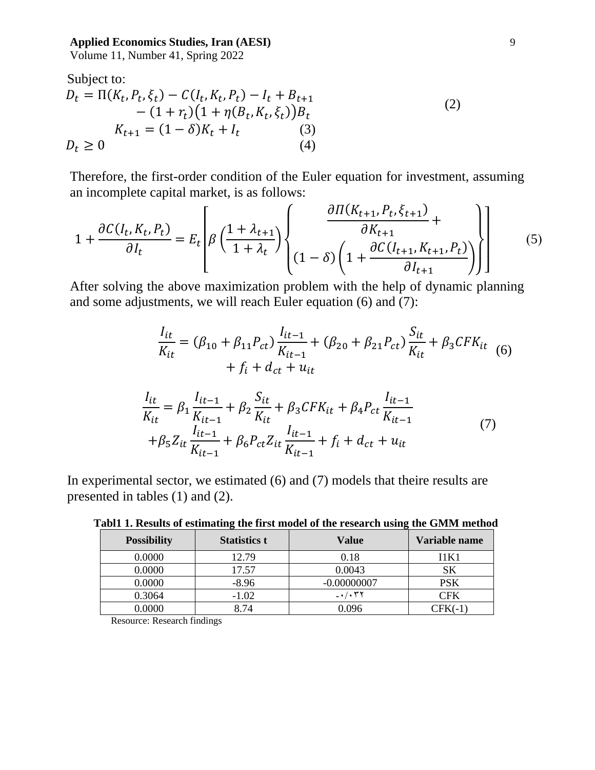Volume 11, Number 41, Spring 2022

Subject to:  
\n
$$
D_{t} = \Pi(K_{t}, P_{t}, \xi_{t}) - C(I_{t}, K_{t}, P_{t}) - I_{t} + B_{t+1} - (1 + r_{t})(1 + \eta(B_{t}, K_{t}, \xi_{t}))B_{t}
$$
\n
$$
K_{t+1} = (1 - \delta)K_{t} + I_{t}
$$
\n(3)  
\n
$$
D_{t} \ge 0
$$
\n(4)

Therefore, the first-order condition of the Euler equation for investment, assuming an incomplete capital market, is as follows:

$$
1 + \frac{\partial C(I_t, K_t, P_t)}{\partial I_t} = E_t \left[ \beta \left( \frac{1 + \lambda_{t+1}}{1 + \lambda_t} \right) \left\{ \frac{\partial \Pi(K_{t+1}, P_t, \xi_{t+1})}{\partial K_{t+1}} + \frac{\partial C(I_{t+1}, K_{t+1}, P_t)}{\partial I_{t+1}} \right\} \right]
$$
(5)

After solving the above maximization problem with the help of dynamic planning and some adjustments, we will reach Euler equation (6) and (7):

$$
\frac{I_{it}}{K_{it}} = (\beta_{10} + \beta_{11}P_{ct})\frac{I_{it-1}}{K_{it-1}} + (\beta_{20} + \beta_{21}P_{ct})\frac{S_{it}}{K_{it}} + \beta_{3}CFK_{it} \quad (6)
$$
  
+  $f_i + d_{ct} + u_{it}$ 

$$
\frac{I_{it}}{K_{it}} = \beta_1 \frac{I_{it-1}}{K_{it-1}} + \beta_2 \frac{S_{it}}{K_{it}} + \beta_3 CFK_{it} + \beta_4 P_{ct} \frac{I_{it-1}}{K_{it-1}}
$$
  
+ $\beta_5 Z_{it} \frac{I_{it-1}}{K_{it-1}} + \beta_6 P_{ct} Z_{it} \frac{I_{it-1}}{K_{it-1}} + f_i + d_{ct} + u_{it}$  (7)

In experimental sector, we estimated (6) and (7) models that theire results are presented in tables (1) and (2).

| <b>Possibility</b> | <b>Statistics t</b> | Value                                      | Variable name |
|--------------------|---------------------|--------------------------------------------|---------------|
| 0.0000             | 12.79               | 0.18                                       | 11 K 1        |
| 0.0000             | 17.57               | 0.0043                                     | SK            |
| 0.0000             | $-8.96$             | $-0.00000007$                              | PSK           |
| 0.3064             | $-1.02$             | $ \cdot$ $/$ $\cdot$ $\uparrow$ $\uparrow$ | CFK           |
| 0.0000             | 8.74                | 0.096                                      | CFK(-1)       |

**Tabl1 1. Results of estimating the first model of the research using the GMM method**

Resource: Research findings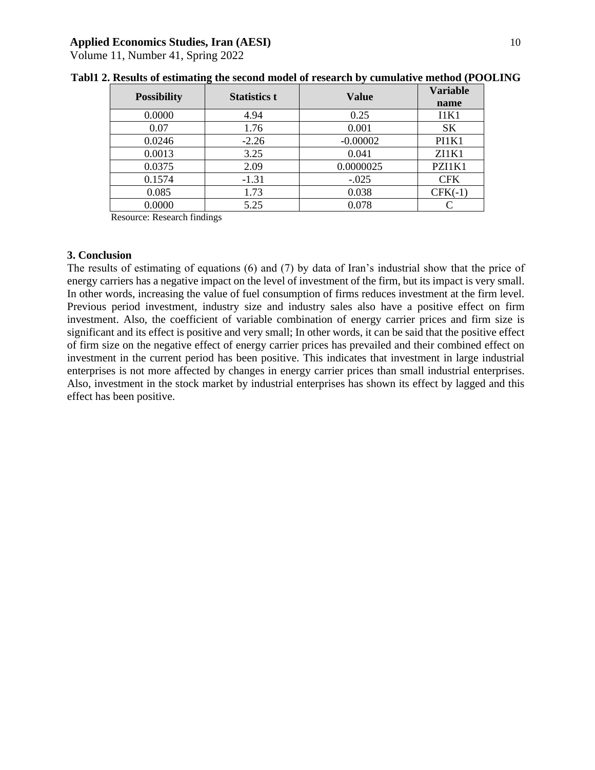Volume 11, Number 41, Spring 2022

| <b>Possibility</b> | <b>Statistics t</b> | <b>Value</b> | <b>Variable</b> |
|--------------------|---------------------|--------------|-----------------|
|                    |                     |              | name            |
| 0.0000             | 4.94                | 0.25         | 11K1            |
| 0.07               | 1.76                | 0.001        | <b>SK</b>       |
| 0.0246             | $-2.26$             | $-0.00002$   | PI1K1           |
| 0.0013             | 3.25                | 0.041        | ZI1K1           |
| 0.0375             | 2.09                | 0.0000025    | PZI1K1          |
| 0.1574             | $-1.31$             | $-.025$      | <b>CFK</b>      |
| 0.085              | 1.73                | 0.038        | $CFK(-1)$       |
| 0.0000             | 5.25                | 0.078        |                 |

| Tabl1 2. Results of estimating the second model of research by cumulative method (POOLING |  |  |  |
|-------------------------------------------------------------------------------------------|--|--|--|
|-------------------------------------------------------------------------------------------|--|--|--|

Resource: Research findings

#### **3. Conclusion**

The results of estimating of equations (6) and (7) by data of Iran's industrial show that the price of energy carriers has a negative impact on the level of investment of the firm, but its impact is very small. In other words, increasing the value of fuel consumption of firms reduces investment at the firm level. Previous period investment, industry size and industry sales also have a positive effect on firm investment. Also, the coefficient of variable combination of energy carrier prices and firm size is significant and its effect is positive and very small; In other words, it can be said that the positive effect of firm size on the negative effect of energy carrier prices has prevailed and their combined effect on investment in the current period has been positive. This indicates that investment in large industrial enterprises is not more affected by changes in energy carrier prices than small industrial enterprises. Also, investment in the stock market by industrial enterprises has shown its effect by lagged and this effect has been positive.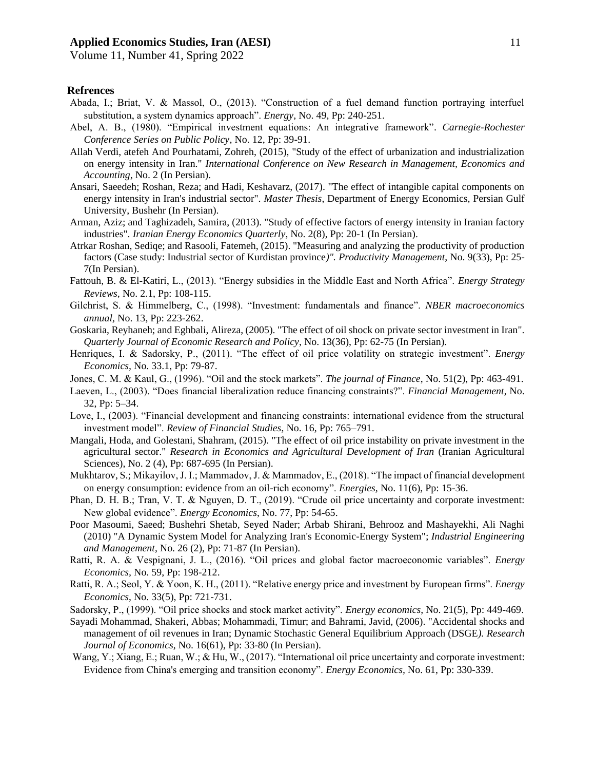Volume 11, Number 41, Spring 2022

## **Refrences**

- Abada, I.; Briat, V. & Massol, O., (2013). "Construction of a fuel demand function portraying interfuel substitution, a system dynamics approach". *Energy*, No. 49, Pp: 240-251.
- Abel, A. B., (1980). "Empirical investment equations: An integrative framework". *Carnegie-Rochester Conference Series on Public Policy*, No. 12, Pp: 39-91.
- Allah Verdi, atefeh And Pourhatami, Zohreh, (2015), "Study of the effect of urbanization and industrialization on energy intensity in Iran." *International Conference on New Research in Management, Economics and Accounting*, No. 2 (In Persian).
- Ansari, Saeedeh; Roshan, Reza; and Hadi, Keshavarz, (2017). "The effect of intangible capital components on energy intensity in Iran's industrial sector". *Master Thesis*, Department of Energy Economics, Persian Gulf University, Bushehr (In Persian).
- Arman, Aziz; and Taghizadeh, Samira, (2013). "Study of effective factors of energy intensity in Iranian factory industries". *Iranian Energy Economics Quarterly*, No. 2(8), Pp: 20-1 (In Persian).
- Atrkar Roshan, Sediqe; and Rasooli, Fatemeh, (2015). "Measuring and analyzing the productivity of production factors (Case study: Industrial sector of Kurdistan province*)". Productivity Management*, No. 9(33), Pp: 25- 7(In Persian).
- Fattouh, B. & El-Katiri, L., (2013). "Energy subsidies in the Middle East and North Africa". *Energy Strategy Reviews,* No. 2.1, Pp: 108-115.
- Gilchrist, S. & Himmelberg, C., (1998). "Investment: fundamentals and finance". *NBER macroeconomics annual,* No. 13, Pp: 223-262.
- Goskaria, Reyhaneh; and Eghbali, Alireza, (2005). "The effect of oil shock on private sector investment in Iran". *Quarterly Journal of Economic Research and Policy*, No. 13(36), Pp: 62-75 (In Persian).
- Henriques, I. & Sadorsky, P., (2011). "The effect of oil price volatility on strategic investment". *Energy Economics,* No. 33.1, Pp: 79-87.
- Jones, C. M. & Kaul, G., (1996). "Oil and the stock markets". *The journal of Finance*, No. 51(2), Pp: 463-491.
- Laeven, L., (2003). "Does financial liberalization reduce financing constraints?". *Financial Management*, No. 32, Pp: 5–34.
- Love, I., (2003). "Financial development and financing constraints: international evidence from the structural investment model". *Review of Financial Studies*, No. 16, Pp: 765–791.
- Mangali, Hoda, and Golestani, Shahram, (2015). "The effect of oil price instability on private investment in the agricultural sector." *Research in Economics and Agricultural Development of Iran* (Iranian Agricultural Sciences), No. 2 (4), Pp: 687-695 (In Persian).
- Mukhtarov, S.; Mikayilov, J. I.; Mammadov, J. & Mammadov, E., (2018). "The impact of financial development on energy consumption: evidence from an oil-rich economy". *Energies,* No. 11(6), Pp: 15-36.
- Phan, D. H. B.; Tran, V. T. & Nguyen, D. T., (2019). "Crude oil price uncertainty and corporate investment: New global evidence". *Energy Economics*, No. 77, Pp: 54-65.
- Poor Masoumi, Saeed; Bushehri Shetab, Seyed Nader; Arbab Shirani, Behrooz and Mashayekhi, Ali Naghi (2010) "A Dynamic System Model for Analyzing Iran's Economic-Energy System"; *Industrial Engineering and Management*, No. 26 (2), Pp: 71-87 (In Persian).
- Ratti, R. A. & Vespignani, J. L., (2016). "Oil prices and global factor macroeconomic variables". *Energy Economics,* No. 59, Pp: 198-212.
- Ratti, R. A.; Seol, Y. & Yoon, K. H., (2011). "Relative energy price and investment by European firms". *Energy Economics*, No. 33(5), Pp: 721-731.
- Sadorsky, P., (1999). "Oil price shocks and stock market activity". *Energy economics*, No. 21(5), Pp: 449-469.
- Sayadi Mohammad, Shakeri, Abbas; Mohammadi, Timur; and Bahrami, Javid, (2006). "Accidental shocks and management of oil revenues in Iran; Dynamic Stochastic General Equilibrium Approach (DSGE*). Research Journal of Economics*, No. 16(61), Pp: 33-80 (In Persian).
- Wang, Y.; Xiang, E.; Ruan, W.; & Hu, W., (2017). "International oil price uncertainty and corporate investment: Evidence from China's emerging and transition economy". *Energy Economics,* No. 61, Pp: 330-339 .